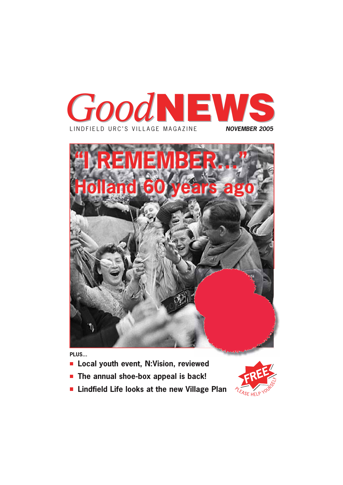



**PLUS...**

- **Local youth event, N:Vision, reviewed**
- **The annual shoe-box appeal is back!**
- **Lindfield Life looks at the new Village Plan**

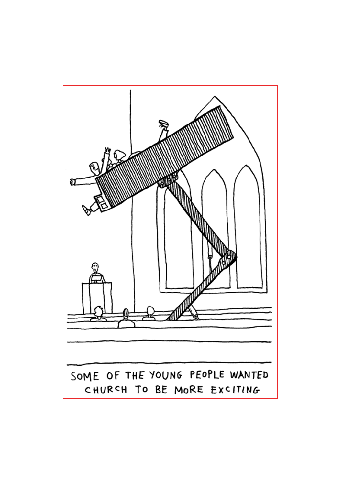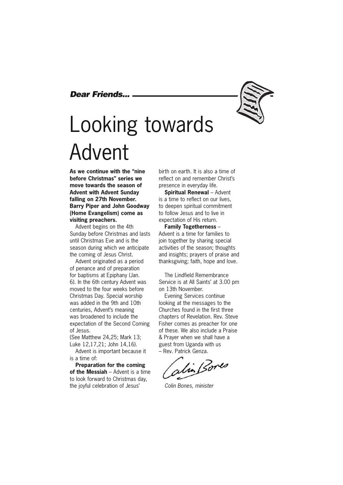#### *Dear Friends...*

# Looking towards Advent

**As we continue with the "nine before Christmas" series we move towards the season of Advent with Advent Sunday falling on 27th November. Barry Piper and John Goodway (Home Evangelism) come as visiting preachers.**

Advent begins on the 4th Sunday before Christmas and lasts until Christmas Eve and is the season during which we anticipate the coming of Jesus Christ.

Advent originated as a period of penance and of preparation for baptisms at Epiphany (Jan. 6). In the 6th century Advent was moved to the four weeks before Christmas Day. Special worship was added in the 9th and 10th centuries, Advent's meaning was broadened to include the expectation of the Second Coming of Jesus.

(See Matthew 24,25; Mark 13; Luke 12,17,21; John 14,16).

Advent is important because it is a time of:

**Preparation for the coming of the Messiah** – Advent is a time to look forward to Christmas day, the joyful celebration of Jesus'

birth on earth. It is also a time of reflect on and remember Christ's presence in everyday life.

**Spiritual Renewal** – Advent is a time to reflect on our lives, to deepen spiritual commitment to follow Jesus and to live in expectation of His return.

**Family Togetherness** – Advent is a time for families to join together by sharing special activities of the season; thoughts and insights; prayers of praise and thanksgiving; faith, hope and love.

The Lindfield Remembrance Service is at All Saints' at 3.00 pm on 13th November.

Evening Services continue looking at the messages to the Churches found in the first three chapters of Revelation. Rev. Steve Fisher comes as preacher for one of these. We also include a Praise & Prayer when we shall have a guest from Uganda with us – Rev. Patrick Genza.

alin Bores

*Colin Bones, minister*

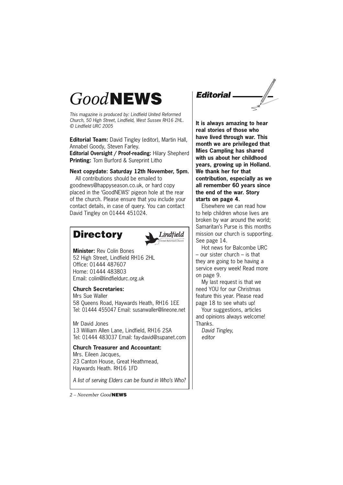### *Good***NEWS**

*This magazine is produced by: Lindfield United Reformed Church, 50 High Street, Lindfield, West Sussex RH16 2HL. © Lindfield URC 2005*

**Editorial Team:** David Tingley (editor), Martin Hall, Annabel Goody, Steven Farley.

**Editorial Oversight / Proof-reading:** Hilary Shepherd **Printing:** Tom Burford & Sureprint Litho

#### **Next copydate: Saturday 12th November, 5pm.**

All contributions should be emailed to goodnews@happyseason.co.uk, or hard copy placed in the 'GoodNEWS' pigeon hole at the rear of the church. Please ensure that you include your contact details, in case of query. You can contact David Tingley on 01444 451024.

### **Directory**



**Minister:** Rev Colin Bones 52 High Street, Lindfield RH16 2HL Office: 01444 487607 Home: 01444 483803 Email: colin@lindfieldurc.org.uk

#### **Church Secretaries:**

Mrs Sue Waller 58 Queens Road, Haywards Heath, RH16 1EE Tel: 01444 455047 Email: susanwaller@lineone.net

Mr David Jones 13 William Allen Lane, Lindfield, RH16 2SA Tel: 01444 483037 Email: fay-david@supanet.com

**Church Treasurer and Accountant:**  Mrs. Eileen Jacques, 23 Canton House, Great Heathmead, Haywards Heath. RH16 1FD

*A list of serving Elders can be found in Who's Who?*

*2 – November Good***NEWS**

*Editorial*

**It is always amazing to hear real stories of those who have lived through war. This month we are privileged that Mies Campling has shared with us about her childhood years, growing up in Holland. We thank her for that contribution, especially as we all remember 60 years since the end of the war. Story starts on page 4.**

Elsewhere we can read how to help children whose lives are broken by war around the world; Samaritan's Purse is this months mission our church is supporting. See page 14.

Hot news for Balcombe URC – our sister church – is that they are going to be having a service every week! Read more on page 9.

My last request is that we need YOU for our Christmas feature this year. Please read page 18 to see whats up!

Your suggestions, articles and opinions always welcome! Thanks.

*David Tingley, editor*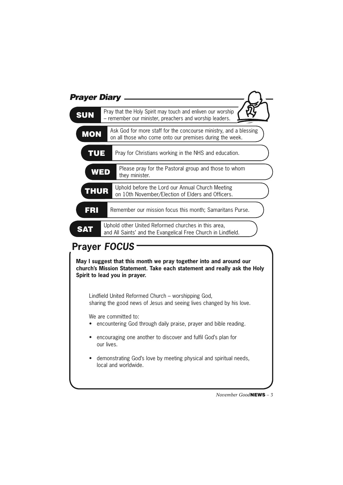| <b>Prayer Diary</b> |                                                                                                                               |
|---------------------|-------------------------------------------------------------------------------------------------------------------------------|
| <b>SUN</b>          | Pray that the Holy Spirit may touch and enliven our worship<br>- remember our minister, preachers and worship leaders.        |
| <b>MON</b>          | Ask God for more staff for the concourse ministry, and a blessing<br>on all those who come onto our premises during the week. |
| <b>TUE</b>          | Pray for Christians working in the NHS and education.                                                                         |
| <b>WED</b>          | Please pray for the Pastoral group and those to whom<br>they minister.                                                        |
| <b>THUR</b>         | Uphold before the Lord our Annual Church Meeting<br>on 10th November/Election of Elders and Officers.                         |
| FRI                 | Remember our mission focus this month; Samaritans Purse.                                                                      |
| SAT                 | Uphold other United Reformed churches in this area,<br>and All Saints' and the Evangelical Free Church in Lindfield.          |

### **Prayer** *FOCUS*

**May I suggest that this month we pray together into and around our church's Mission Statement. Take each statement and really ask the Holy Spirit to lead you in prayer.**

Lindfield United Reformed Church – worshipping God, sharing the good news of Jesus and seeing lives changed by his love.

We are committed to:

• encountering God through daily praise, prayer and bible reading.

• encouraging one another to discover and fulfil God's plan for our lives.

• demonstrating God's love by meeting physical and spiritual needs, local and worldwide.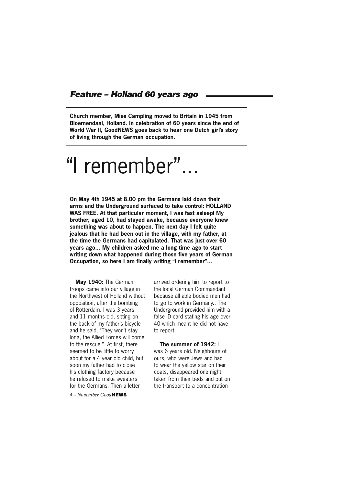#### *Feature – Holland 60 years ago*

**Church member, Mies Campling moved to Britain in 1945 from Bloemendaal, Holland. In celebration of 60 years since the end of World War II, GoodNEWS goes back to hear one Dutch girl's story of living through the German occupation.** 

# "I remember"...

**On May 4th 1945 at 8.00 pm the Germans laid down their arms and the Underground surfaced to take control: HOLLAND WAS FREE. At that particular moment, I was fast asleep! My brother, aged 10, had stayed awake, because everyone knew something was about to happen. The next day I felt quite jealous that he had been out in the village, with my father, at the time the Germans had capitulated. That was just over 60 years ago... My children asked me a long time ago to start writing down what happened during those five years of German Occupation, so here I am finally writing "I remember"...**

**May 1940:** The German troops came into our village in the Northwest of Holland without opposition, after the bombing of Rotterdam. I was 3 years and 11 months old, sitting on the back of my father's bicycle and he said, "They won't stay long, the Allied Forces will come to the rescue.". At first, there seemed to be little to worry about for a 4 year old child, but soon my father had to close his clothing factory because he refused to make sweaters for the Germans. Then a letter

*4 – November Good***NEWS**

arrived ordering him to report to the local German Commandant because all able bodied men had to go to work in Germany.. The Underground provided him with a false ID card stating his age over 40 which meant he did not have to report.

**The summer of 1942:** I was 6 years old. Neighbours of ours, who were Jews and had to wear the yellow star on their coats, disappeared one night, taken from their beds and put on the transport to a concentration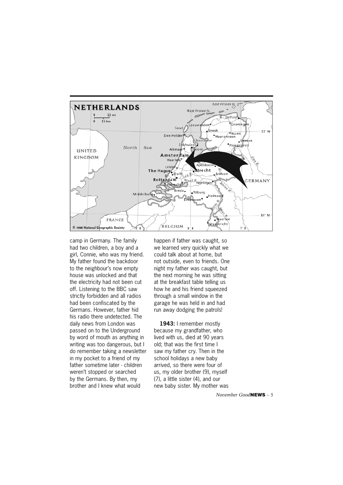

camp in Germany. The family had two children, a boy and a girl, Connie, who was my friend. My father found the backdoor to the neighbour's now empty house was unlocked and that the electricity had not been cut off. Listening to the BBC saw strictly forbidden and all radios had been confiscated by the Germans. However, father hid his radio there undetected. The daily news from London was passed on to the Underground by word of mouth as anything in writing was too dangerous, but I do remember taking a newsletter in my pocket to a friend of my father sometime later - children weren't stopped or searched by the Germans. By then, my brother and I knew what would

happen if father was caught, so we learned very quickly what we could talk about at home, but not outside, even to friends. One night my father was caught, but the next morning he was sitting at the breakfast table telling us how he and his friend squeezed through a small window in the garage he was held in and had run away dodging the patrols!

**1943:** I remember mostly because my grandfather, who lived with us, died at 90 years old; that was the first time I saw my father cry. Then in the school holidays a new baby arrived, so there were four of us, my older brother (9), myself (7), a little sister (4), and our new baby sister. My mother was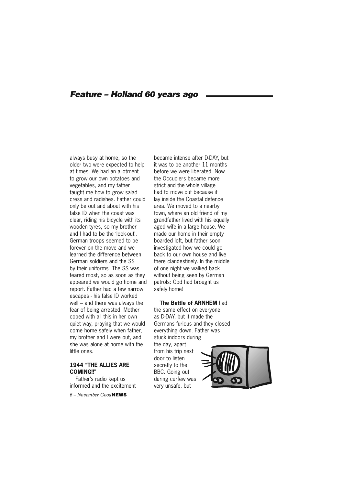#### *Feature – Holland 60 years ago*

always busy at home, so the older two were expected to help at times. We had an allotment to grow our own potatoes and vegetables, and my father taught me how to grow salad cress and radishes. Father could only be out and about with his false ID when the coast was clear, riding his bicycle with its wooden tyres, so my brother and I had to be the 'look-out'. German troops seemed to be forever on the move and we learned the difference between German soldiers and the SS by their uniforms. The SS was feared most, so as soon as they appeared we would go home and report. Father had a few narrow escapes - his false ID worked well – and there was always the fear of being arrested. Mother coped with all this in her own quiet way, praying that we would come home safely when father, my brother and I were out, and she was alone at home with the little ones.

#### **1944 "THE ALLIES ARE COMING!!"**

Father's radio kept us informed and the excitement

*6 – November Good***NEWS**

became intense after D-DAY, but it was to be another 11 months before we were liberated. Now the Occupiers became more strict and the whole village had to move out because it lay inside the Coastal defence area. We moved to a nearby town, where an old friend of my grandfather lived with his equally aged wife in a large house. We made our home in their empty boarded loft, but father soon investigated how we could go back to our own house and live there clandestinely. In the middle of one night we walked back without being seen by German patrols: God had brought us safely home!

#### **The Battle of ARNHEM** had

the same effect on everyone as D-DAY, but it made the Germans furious and they closed everything down. Father was stuck indoors during the day, apart from his trip next door to listen secretly to the BBC. Going out during curfew was very unsafe, but

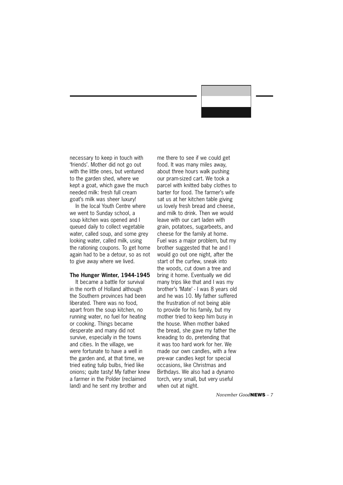necessary to keep in touch with 'friends'. Mother did not go out with the little ones, but ventured to the garden shed, where we kept a goat, which gave the much needed milk: fresh full cream goat's milk was sheer luxury!

In the local Youth Centre where we went to Sunday school, a soup kitchen was opened and I queued daily to collect vegetable water, called soup, and some grey looking water, called milk, using the rationing coupons. To get home again had to be a detour, so as not to give away where we lived.

#### **The Hunger Winter, 1944-1945**

It became a battle for survival in the north of Holland although the Southern provinces had been liberated. There was no food, apart from the soup kitchen, no running water, no fuel for heating or cooking. Things became desperate and many did not survive, especially in the towns and cities. In the village, we were fortunate to have a well in the garden and, at that time, we tried eating tulip bulbs, fried like onions; quite tasty! My father knew a farmer in the Polder (reclaimed land) and he sent my brother and

me there to see if we could get food. It was many miles away, about three hours walk pushing our pram-sized cart. We took a parcel with knitted baby clothes to barter for food. The farmer's wife sat us at her kitchen table giving us lovely fresh bread and cheese, and milk to drink. Then we would leave with our cart laden with grain, potatoes, sugarbeets, and cheese for the family at home. Fuel was a major problem, but my brother suggested that he and I would go out one night, after the start of the curfew, sneak into the woods, cut down a tree and bring it home. Eventually we did many trips like that and I was my brother's 'Mate' - I was 8 years old and he was 10. My father suffered the frustration of not being able to provide for his family, but my mother tried to keep him busy in the house. When mother baked the bread, she gave my father the kneading to do, pretending that it was too hard work for her. We made our own candles, with a few pre-war candles kept for special occasions, like Christmas and Birthdays. We also had a dynamo torch, very small, but very useful when out at night.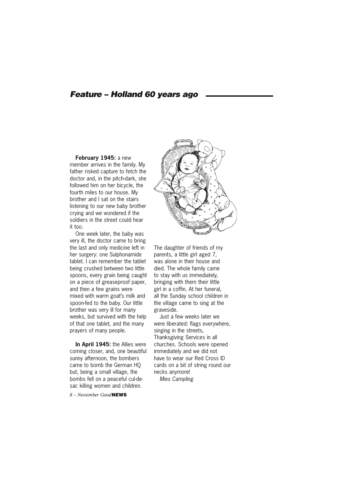#### *Feature – Holland 60 years ago*

#### **February 1945:** a new

member arrives in the family. My father risked capture to fetch the doctor and, in the pitch-dark, she followed him on her bicycle, the fourth miles to our house. My brother and I sat on the stairs listening to our new baby brother crying and we wondered if the soldiers in the street could hear it too.

One week later, the baby was very ill, the doctor came to bring the last and only medicine left in her surgery: one Sulphonamide tablet. I can remember the tablet being crushed between two little spoons, every grain being caught on a piece of greaseproof paper, and then a few grains were mixed with warm goat's milk and spoon-fed to the baby. Our little brother was very ill for many weeks, but survived with the help of that one tablet, and the many prayers of many people.

**In April 1945:** the Allies were coming closer, and, one beautiful sunny afternoon, the bombers came to bomb the German HQ but, being a small village, the bombs fell on a peaceful cul-desac killing women and children.

*8 – November Good***NEWS**



The daughter of friends of my parents, a little girl aged 7, was alone in their house and died. The whole family came to stay with us immediately, bringing with them their little girl in a coffin. At her funeral, all the Sunday school children in the village came to sing at the graveside.

Just a few weeks later we were liberated: flags everywhere, singing in the streets, Thanksgiving Services in all churches. Schools were opened immediately and we did not have to wear our Red Cross ID cards on a bit of string round our necks anymore!

*Mies Campling*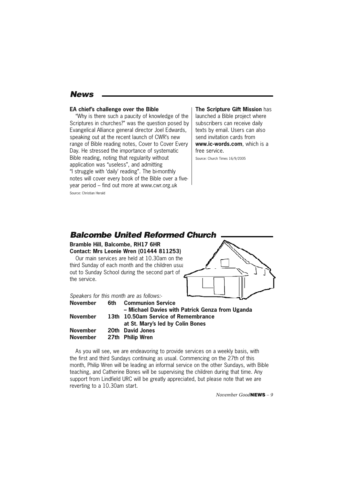#### *News*

#### **EA chief's challenge over the Bible**

"Why is there such a paucity of knowledge of the Scriptures in churches?" was the question posed by Evangelical Alliance general director Joel Edwards, speaking out at the recent launch of CWR's new range of Bible reading notes, Cover to Cover Every Day. He stressed the importance of systematic Bible reading, noting that regularity without application was "useless", and admitting "I struggle with 'daily' reading". The bi-monthly notes will cover every book of the Bible over a fiveyear period – find out more at www.cwr.org.uk Source: Christian Herald

**The Scripture Gift Mission** has launched a Bible project where subscribers can receive daily texts by email. Users can also send invitation cards from **www.ic-words.com**, which is a free service.

Source: Church Times 16/9/2005

#### **Bramble Hill, Balcombe, RH17 6HR Contact: Mrs Leonie Wren (01444 811253)** Our main services are held at 10.30am on the third Sunday of each month and the children usual out to Sunday School during the second part of the service. *Speakers for this month are as follows:-* **November 6th Communion Service – Michael Davies with Patrick Genza from Uganda November 13th 10.50am Service of Remembrance at St. Mary's led by Colin Bones November 20th David Jones** *Balcombe United Reformed Church*

**November 27th Philip Wren**

As you will see, we are endeavoring to provide services on a weekly basis, with the first and third Sundays continuing as usual. Commencing on the 27th of this month, Philip Wren will be leading an informal service on the other Sundays, with Bible teaching, and Catherine Bones will be supervising the children during that time. Any support from Lindfield URC will be greatly appreciated, but please note that we are reverting to a 10.30am start.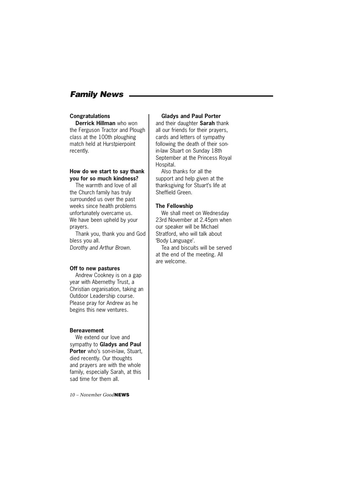#### *Family News*

#### **Congratulations**

**Derrick Hillman** who won the Ferguson Tractor and Plough class at the 100th ploughing match held at Hurstpierpoint recently.

#### **How do we start to say thank you for so much kindness?**

The warmth and love of all the Church family has truly surrounded us over the past weeks since health problems unfortunately overcame us. We have been upheld by your prayers.

Thank you, thank you and God bless you all. *Dorothy and Arthur Brown.*

#### **Off to new pastures**

Andrew Cookney is on a gap year with Abernethy Trust, a Christian organisation, taking an Outdoor Leadership course. Please pray for Andrew as he begins this new ventures.

#### **Bereavement**

We extend our love and sympathy to **Gladys and Paul Porter** who's son-in-law, Stuart, died recently. Our thoughts and prayers are with the whole family, especially Sarah, at this sad time for them all.

*10 – November Good***NEWS**

#### **Gladys and Paul Porter**

and their daughter **Sarah** thank all our friends for their prayers, cards and letters of sympathy following the death of their sonin-law Stuart on Sunday 18th September at the Princess Royal Hospital.

Also thanks for all the support and help given at the thanksgiving for Stuart's life at Sheffield Green.

#### **The Fellowship**

We shall meet on Wednesday 23rd November at 2.45pm when our speaker will be Michael Stratford, who will talk about 'Body Language'.

Tea and biscuits will be served at the end of the meeting. All are welcome.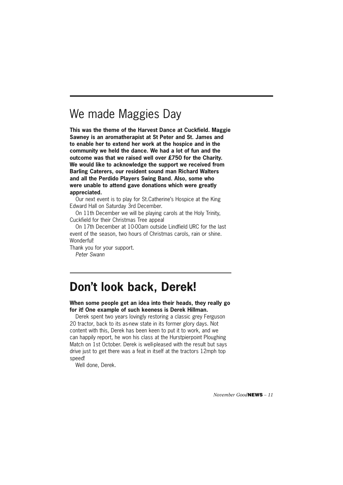### We made Maggies Day

**This was the theme of the Harvest Dance at Cuckfield. Maggie Sawney is an aromatherapist at St Peter and St. James and to enable her to extend her work at the hospice and in the community we held the dance. We had a lot of fun and the outcome was that we raised well over £750 for the Charity. We would like to acknowledge the support we received from Barling Caterers, our resident sound man Richard Walters and all the Perdido Players Swing Band. Also, some who were unable to attend gave donations which were greatly appreciated.**

Our next event is to play for St.Catherine's Hospice at the King Edward Hall on Saturday 3rd December.

On 11th December we will be playing carols at the Holy Trinity, Cuckfield for their Christmas Tree appeal

On 17th December at 10-00am outside Lindfield URC for the last event of the season, two hours of Christmas carols, rain or shine. Wonderful!

Thank you for your support. *Peter Swann*

### **Don't look back, Derek!**

**When some people get an idea into their heads, they really go for it! One example of such keeness is Derek Hillman.**

Derek spent two years lovingly restoring a classic grey Ferguson 20 tractor, back to its as-new state in its former glory days. Not content with this, Derek has been keen to put it to work, and we can happily report, he won his class at the Hurstpierpoint Ploughing Match on 1st October. Derek is well-pleased with the result but says drive just to get there was a feat in itself at the tractors 12mph top speed!

Well done, Derek.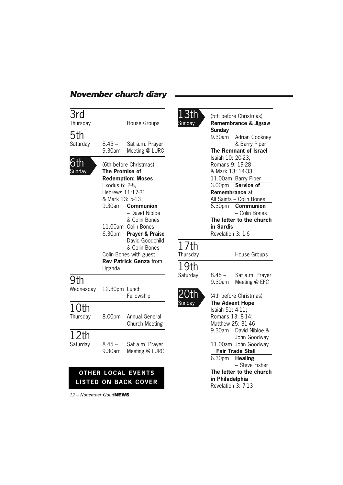#### *November church diary*

| 3rd<br>Thursday          |                                                                                                                                                                                      | <b>House Groups</b>                                                                                                                                               |
|--------------------------|--------------------------------------------------------------------------------------------------------------------------------------------------------------------------------------|-------------------------------------------------------------------------------------------------------------------------------------------------------------------|
|                          |                                                                                                                                                                                      |                                                                                                                                                                   |
| 5th<br>Saturday          | $8.45 -$<br>9.30am                                                                                                                                                                   | Sat a.m. Prayer<br>Meeting @ LURC                                                                                                                                 |
| ındav                    | (6th before Christmas)<br><b>The Promise of</b><br><b>Redemption: Moses</b><br>Exodus 6: 2-8,<br>Hebrews 11:17-31<br>& Mark 13: 5-13<br>9.30am<br><b>Communion</b><br>- David Nibloe |                                                                                                                                                                   |
|                          | 6.30 <sub>pm</sub><br>Uganda.                                                                                                                                                        | & Colin Bones<br>11.00am Colin Bones<br><b>Prayer &amp; Praise</b><br>David Goodchild<br>& Colin Bones<br>Colin Bones with guest<br><b>Rev Patrick Genza from</b> |
| 9th<br>Wednesday         | 12.30pm Lunch                                                                                                                                                                        | Fellowship                                                                                                                                                        |
| 10th<br>Thursday         | 8.00pm                                                                                                                                                                               | Annual General<br><b>Church Meeting</b>                                                                                                                           |
| 12th<br>Saturday         | $8.45 -$<br>9.30am                                                                                                                                                                   | Sat a.m. Prayer<br>Meeting @ LURC                                                                                                                                 |
|                          |                                                                                                                                                                                      | <b>OTHER LOCAL EVENTS</b><br><b>LISTED ON BACK COVER</b>                                                                                                          |
| $12 - November GoodNEWS$ |                                                                                                                                                                                      |                                                                                                                                                                   |

17th

19th<br>Saturday

 $13th$  (5th before Christmas)<br>Sunday Remembrance & Jigs **Remembrance & Jigsaw Sunday** 9.30am Adrian Cookney & Barry Piper  **The Remnant of Israel** Isaiah 10: 20-23, Romans 9: 19-28 & Mark 13: 14-33 11.00am Barry Piper 3.00pm **Service of Remembrance** at All Saints – Colin Bones 6.30pm **Communion** – Colin Bones **The letter to the church in Sardis** Revelation 3: 1-6 House Groups  $8.45 -$  Sat a.m. Prayer 9.30am Meeting @ EFC  $20th$  (4th before Christmas)<br>Sunday **The Advent Hope The Advent Hope**  Isaiah 51: 4-11; Romans 13: 8-14; Matthew 25: 31-46 9.30am David Nibloe & John Goodway 11.00am John Goodway  **Fair Trade Stall** 6.30pm **Healing** – Steve Fisher **The letter to the church in Philadelphia** Revelation 3: 7-13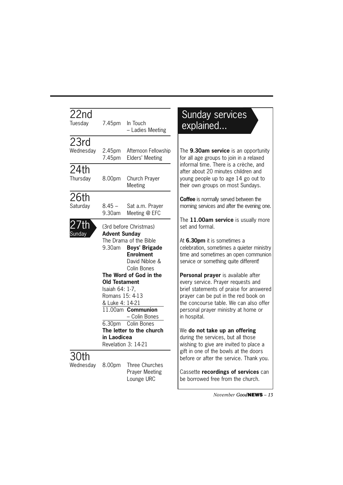| 22nd<br>Tuesday  |                                                | 7.45pm In Touch<br>- Ladies Meeting                   | ex             |
|------------------|------------------------------------------------|-------------------------------------------------------|----------------|
| 23rd             |                                                |                                                       |                |
| Wednesday        |                                                | 2.45pm Afternoon Fellowship<br>7.45pm Elders' Meeting | The !<br>for a |
| 24th             |                                                |                                                       | infor<br>after |
| Thursday         | 8.00pm                                         | Church Prayer<br>Meeting                              | youn<br>their  |
| 26th             |                                                |                                                       | Coff           |
| Saturday         | $8.45 -$<br>9.30am                             | Sat a.m. Prayer<br>Meeting @ EFC                      | morn           |
| 27th             |                                                | (3rd before Christmas)                                | The<br>set a   |
| Sunday           | <b>Advent Sunday</b><br>The Drama of the Bible | At 6.                                                 |                |
|                  |                                                | 9.30am Boys' Brigade                                  | celeb          |
|                  |                                                | <b>Enrolment</b>                                      | time           |
|                  |                                                | David Nibloe &                                        | servi          |
|                  |                                                | Colin Bones                                           |                |
|                  |                                                | The Word of God in the                                | Pers           |
|                  | <b>Old Testament</b>                           |                                                       | ever           |
|                  | Isaiah 64: 1-7,<br>Romans 15: 4-13             |                                                       | brief          |
|                  | & Luke 4: 14-21                                |                                                       | pray<br>the c  |
|                  |                                                | $11.00$ am Communion                                  | pers           |
|                  |                                                | - Colin Bones                                         | in ho          |
|                  |                                                | 6.30pm Colin Bones                                    |                |
|                  |                                                | The letter to the church                              | We c           |
|                  | in Laodicea                                    |                                                       | durin          |
|                  |                                                | Revelation 3: 14-21                                   | wishi          |
| 30th             |                                                |                                                       | gift i         |
| Wednesday 8.00pm |                                                | Three Churches                                        | befor          |
|                  |                                                | <b>Prayer Meeting</b>                                 | Cass           |
|                  |                                                | Lounge URC                                            | be b           |

### unday services plained...

9.30am service is an opportunity all age groups to join in a relaxed mal time. There is a crèche, and about 20 minutes children and g people up to age 14 go out to own groups on most Sundays.

**ee** is normally served between the ling services and after the evening one.

11.00am service is usually more and formal.

**.30pm** it is sometimes a oration, sometimes a quieter ministry and sometimes an open communion ce or something quite different!

**sonal prayer** is available after y service. Prayer requests and statements of praise for answered er can be put in the red book on concourse table. We can also offer onal prayer ministry at home or spital.

#### do not take up an offering g the services, but all those

ing to give are invited to place a n one of the bowls at the doors re or after the service. Thank you.

ette **recordings of services** can be borrowed free from the church.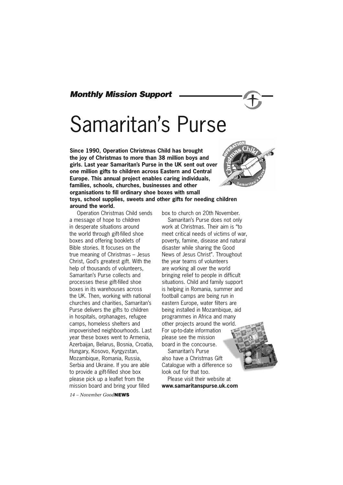#### *Monthly Mission Support*

# Samaritan's Purse

**Since 1990, Operation Christmas Child has brought the joy of Christmas to more than 38 million boys and girls. Last year Samaritan's Purse in the UK sent out over one million gifts to children across Eastern and Central Europe. This annual project enables caring individuals, families, schools, churches, businesses and other organisations to fill ordinary shoe boxes with small toys, school supplies, sweets and other gifts for needing children around the world.**

 Operation Christmas Child sends a message of hope to children in desperate situations around the world through gift-filled shoe boxes and offering booklets of Bible stories. It focuses on the true meaning of Christmas – Jesus Christ, God's greatest gift. With the help of thousands of volunteers, Samaritan's Purse collects and processes these gift-filled shoe boxes in its warehouses across the UK. Then, working with national churches and charities, Samaritan's Purse delivers the gifts to children in hospitals, orphanages, refugee camps, homeless shelters and impoverished neighbourhoods. Last year these boxes went to Armenia, Azerbaijan, Belarus, Bosnia, Croatia, Hungary, Kosovo, Kyrgyzstan, Mozambique, Romania, Russia, Serbia and Ukraine. If you are able to provide a gift-filled shoe box please pick up a leaflet from the mission board and bring your filled

*14 – November Good***NEWS**

box to church on 20th November. Samaritan's Purse does not only work at Christmas. Their aim is "to meet critical needs of victims of war, poverty, famine, disease and natural disaster while sharing the Good News of Jesus Christ". Throughout the year teams of volunteers are working all over the world bringing relief to people in difficult situations. Child and family support is helping in Romania, summer and football camps are being run in eastern Europe, water filters are being installed in Mozambique, aid programmes in Africa and many other projects around the world. For up-to-date information please see the mission board in the concourse.

Samaritan's Purse also have a Christmas Gift Catalogue with a difference so look out for that too.

Please visit their website at **www.samaritanspurse.uk.com** 

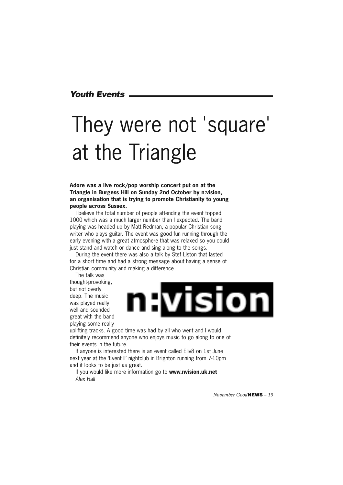#### *Youth Events*

# They were not 'square' at the Triangle

**Adore was a live rock/pop worship concert put on at the Triangle in Burgess Hill on Sunday 2nd October by n:vision, an organisation that is trying to promote Christianity to young people across Sussex.** 

I believe the total number of people attending the event topped 1000 which was a much larger number than I expected. The band playing was headed up by Matt Redman, a popular Christian song writer who plays guitar. The event was good fun running through the early evening with a great atmosphere that was relaxed so you could just stand and watch or dance and sing along to the songs.

During the event there was also a talk by Stef Liston that lasted for a short time and had a strong message about having a sense of Christian community and making a difference.

The talk was thought-provoking, but not overly deep. The music was played really well and sounded great with the band playing some really



uplifting tracks. A good time was had by all who went and I would definitely recommend anyone who enjoys music to go along to one of their events in the future.

If anyone is interested there is an event called Eliv8 on 1st June next year at the 'Event II' nightclub in Brighton running from 7-10pm and it looks to be just as great.

If you would like more information go to **www.nvision.uk.net** *Alex Hall*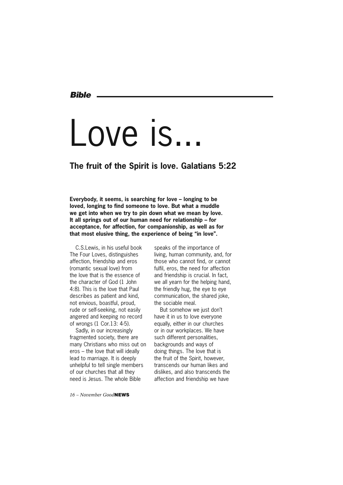*Bible*

# Love is..

#### **The fruit of the Spirit is love. Galatians 5:22**

**Everybody, it seems, is searching for love – longing to be loved, longing to find someone to love. But what a muddle we get into when we try to pin down what we mean by love. It all springs out of our human need for relationship – for acceptance, for affection, for companionship, as well as for that most elusive thing, the experience of being "in love".**

C.S.Lewis, in his useful book The Four Loves, distinguishes affection, friendship and eros (romantic sexual love) from the love that is the essence of the character of God (1 John 4:8). This is the love that Paul describes as patient and kind, not envious, boastful, proud, rude or self-seeking, not easily angered and keeping no record of wrongs (1 Cor.13: 4-5).

Sadly, in our increasingly fragmented society, there are many Christians who miss out on eros – the love that will ideally lead to marriage. It is deeply unhelpful to tell single members of our churches that all they need is Jesus. The whole Bible

*16 – November Good***NEWS**

speaks of the importance of living, human community, and, for those who cannot find, or cannot fulfil, eros, the need for affection and friendship is crucial. In fact, we all yearn for the helping hand, the friendly hug, the eye to eye communication, the shared joke, the sociable meal.

But somehow we just don't have it in us to love everyone equally, either in our churches or in our workplaces. We have such different personalities, backgrounds and ways of doing things. The love that is the fruit of the Spirit, however, transcends our human likes and dislikes, and also transcends the affection and friendship we have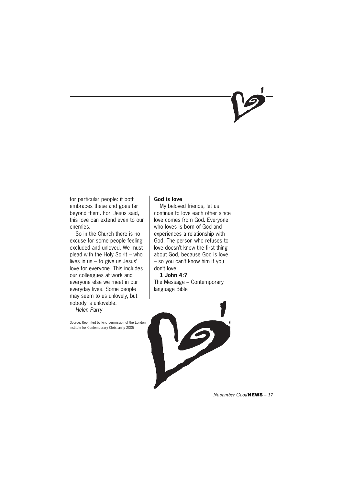for particular people: it both embraces these and goes far beyond them. For, Jesus said, this love can extend even to our enemies.

So in the Church there is no excuse for some people feeling excluded and unloved. We must plead with the Holy Spirit – who lives in us – to give us Jesus' love for everyone. This includes our colleagues at work and everyone else we meet in our everyday lives. Some people may seem to us unlovely, but nobody is unlovable.

*Helen Parry*

Source: Reprinted by kind permission of the London Institute for Contemporary Christianity 2005

#### **God is love**

My beloved friends, let us continue to love each other since love comes from God. Everyone who loves is born of God and experiences a relationship with God. The person who refuses to love doesn't know the first thing about God, because God is love – so you can't know him if you don't love.

**1 John 4:7** The Message – Contemporary language Bible

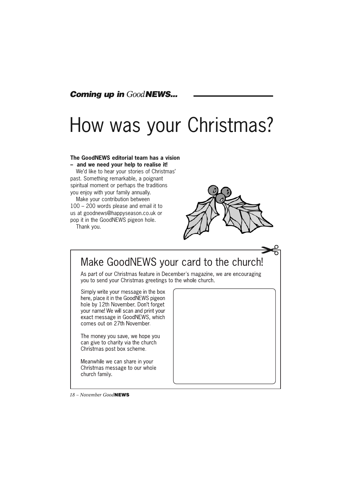#### *Coming up in GoodNEWS...*

## How was your Christmas?

#### **The GoodNEWS editorial team has a vision – and we need your help to realise it!**

We'd like to hear your stories of Christmas' past. Something remarkable, a poignant spiritual moment or perhaps the traditions you enjoy with your family annually.

Make your contribution between 100 – 200 words please and email it to us at goodnews@happyseason.co.uk or pop it in the GoodNEWS pigeon hole.

Thank you.



### Make GoodNEWS your card to the church!

As part of our Christmas feature in December's magazine, we are encouraging you to send your Christmas greetings to the whole church.

Simply write your message in the box here, place it in the GoodNEWS pigeon hole by 12th November. Don't forget your name! We will scan and print your exact message in GoodNEWS, which comes out on 27th November.

The money you save, we hope you can give to charity via the church Christmas post box scheme.

Meanwhile we can share in your Christmas message to our whole church family.



*18 – November Good***NEWS**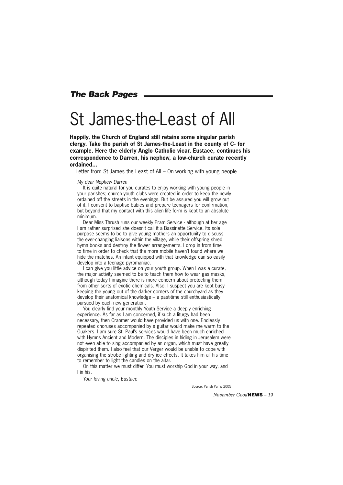#### *The Back Pages*

### St James-the-Least of All

**Happily, the Church of England still retains some singular parish clergy. Take the parish of St James-the-Least in the county of C- for example. Here the elderly Anglo-Catholic vicar, Eustace, continues his correspondence to Darren, his nephew, a low-church curate recently ordained...**

Letter from St James the Least of All – On working with young people

*My dear Nephew Darren*

It is quite natural for you curates to enjoy working with young people in your parishes; church youth clubs were created in order to keep the newly ordained off the streets in the evenings. But be assured you will grow out of it. I consent to baptise babies and prepare teenagers for confirmation, but beyond that my contact with this alien life form is kept to an absolute minimum.

Dear Miss Thrush runs our weekly Pram Service - although at her age I am rather surprised she doesn't call it a Bassinette Service. Its sole purpose seems to be to give young mothers an opportunity to discuss the ever-changing liaisons within the village, while their offspring shred hymn books and destroy the flower arrangements. I drop in from time to time in order to check that the more mobile haven't found where we hide the matches. An infant equipped with that knowledge can so easily develop into a teenage pyromaniac.

I can give you little advice on your youth group. When I was a curate, the major activity seemed to be to teach them how to wear gas masks, although today I imagine there is more concern about protecting them from other sorts of exotic chemicals. Also, I suspect you are kept busy keeping the young out of the darker corners of the churchyard as they develop their anatomical knowledge – a past-time still enthusiastically pursued by each new generation.

You clearly find your monthly Youth Service a deeply enriching experience. As far as I am concerned, if such a liturgy had been necessary, then Cranmer would have provided us with one. Endlessly repeated choruses accompanied by a guitar would make me warm to the Quakers. I am sure St. Paul's services would have been much enriched with Hymns Ancient and Modern. The disciples in hiding in Jerusalem were not even able to sing accompanied by an organ, which must have greatly dispirited them. I also feel that our Verger would be unable to cope with organising the strobe lighting and dry ice effects. It takes him all his time to remember to light the candles on the altar.

On this matter we must differ. You must worship God in your way, and I in his.

*Your loving uncle, Eustace*

Source: Parish Pump 2005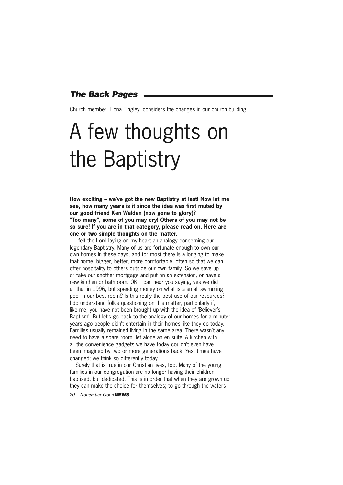#### *The Back Pages*

Church member, Fiona Tingley, considers the changes in our church building.

# A few thoughts on the Baptistry

**How exciting – we've got the new Baptistry at last! Now let me see, how many years is it since the idea was first muted by our good friend Ken Walden (now gone to glory)? "Too many", some of you may cry! Others of you may not be so sure! If you are in that category, please read on. Here are one or two simple thoughts on the matter.**

I felt the Lord laying on my heart an analogy concerning our legendary Baptistry. Many of us are fortunate enough to own our own homes in these days, and for most there is a longing to make that home, bigger, better, more comfortable, often so that we can offer hospitality to others outside our own family. So we save up or take out another mortgage and put on an extension, or have a new kitchen or bathroom. OK, I can hear you saying, yes we did all that in 1996, but spending money on what is a small swimming pool in our best room!? Is this really the best use of our resources? I do understand folk's questioning on this matter, particularly if, like me, you have not been brought up with the idea of 'Believer's Baptism'. But let's go back to the analogy of our homes for a minute: years ago people didn't entertain in their homes like they do today. Families usually remained living in the same area. There wasn't any need to have a spare room, let alone an en suite! A kitchen with all the convenience gadgets we have today couldn't even have been imagined by two or more generations back. Yes, times have changed; we think so differently today.

Surely that is true in our Christian lives, too. Many of the young families in our congregation are no longer having their children baptised, but dedicated. This is in order that when they are grown up they can make the choice for themselves; to go through the waters

*20 – November Good***NEWS**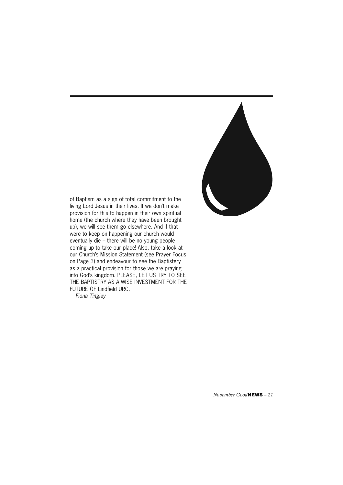

of Baptism as a sign of total commitment to the living Lord Jesus in their lives. If we don't make provision for this to happen in their own spiritual home (the church where they have been brought up), we will see them go elsewhere. And if that were to keep on happening our church would eventually die – there will be no young people coming up to take our place! Also, take a look at our Church's Mission Statement (see Prayer Focus on Page 3) and endeavour to see the Baptistery as a practical provision for those we are praying into God's kingdom. PLEASE, LET US TRY TO SEE THE BAPTISTRY AS A WISE INVESTMENT FOR THE FUTURE OF Lindfield URC.

*Fiona Tingley*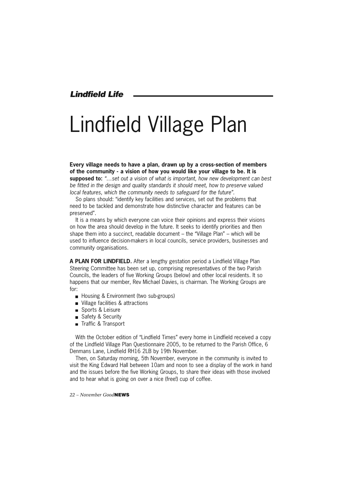*Lindfield Life*

# Lindfield Village Plan

**Every village needs to have a plan, drawn up by a cross-section of members of the community - a vision of how you would like your village to be. It is supposed to:** *"…set out a vision of what is important, how new development can best be fitted in the design and quality standards it should meet, how to preserve valued local features, which the community needs to safeguard for the future".*

So plans should: "identify key facilities and services, set out the problems that need to be tackled and demonstrate how distinctive character and features can be preserved".

It is a means by which everyone can voice their opinions and express their visions on how the area should develop in the future. It seeks to identify priorities and then shape them into a succinct, readable document – the "Village Plan" – which will be used to influence decision-makers in local councils, service providers, businesses and community organisations.

**A PLAN FOR LINDFIELD.** After a lengthy gestation period a Lindfield Village Plan Steering Committee has been set up, comprising representatives of the two Parish Councils, the leaders of five Working Groups (below) and other local residents. It so happens that our member, Rev Michael Davies, is chairman. The Working Groups are for:

- Housing & Environment (two sub-groups)
- **Village facilities & attractions**
- Sports & Leisure
- Safety & Security
- Traffic & Transport

With the October edition of "Lindfield Times" every home in Lindfield received a copy of the Lindfield Village Plan Questionnaire 2005, to be returned to the Parish Office, 6 Denmans Lane, Lindfield RH16 2LB by 19th November.

Then, on Saturday morning, 5th November, everyone in the community is invited to visit the King Edward Hall between 10am and noon to see a display of the work in hand and the issues before the five Working Groups, to share their ideas with those involved and to hear what is going on over a nice (free!) cup of coffee.

*22 – November Good***NEWS**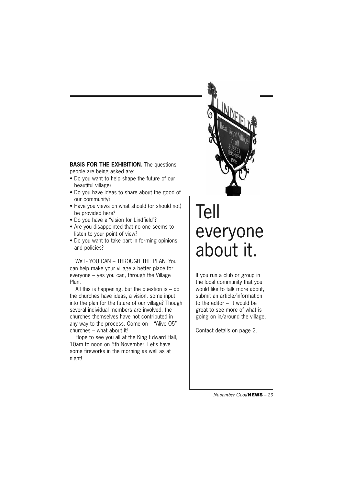**BASIS FOR THE EXHIBITION.** The questions people are being asked are:

- Do you want to help shape the future of our beautiful village?
- Do you have ideas to share about the good of our community?
- Have you views on what should (or should not) be provided here?
- Do you have a "vision for Lindfield"?
- Are you disappointed that no one seems to listen to your point of view?
- Do you want to take part in forming opinions and policies?

Well - YOU CAN – THROUGH THE PLAN! You can help make your village a better place for everyone – yes you can, through the Village Plan.

All this is happening, but the question is  $-$  do the churches have ideas, a vision, some input into the plan for the future of our village? Though several individual members are involved, the churches themselves have not contributed in any way to the process. Come on – "Alive O5" churches – what about it!

Hope to see you all at the King Edward Hall, 10am to noon on 5th November. Let's have some fireworks in the morning as well as at night!

## Tell everyone about it.

If you run a club or group in the local community that you would like to talk more about, submit an article/information to the editor – it would be great to see more of what is going on in/around the village.

Contact details on page 2.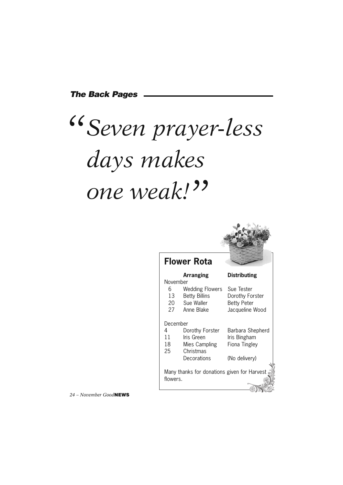#### *The Back Pages*

# *Seven prayer-less " days makes one weak! "*



#### **Flower Rota**

| <b>Arranging</b> | <b>Distributing</b> |
|------------------|---------------------|
| er               |                     |

| November |                                             |                    |
|----------|---------------------------------------------|--------------------|
| 6        | <b>Wedding Flowers</b>                      | Sue Tester         |
| 13       | <b>Betty Billins</b>                        | Dorothy Forster    |
| 20       | Sue Waller                                  | <b>Betty Peter</b> |
| 27       | Anne Blake                                  | Jacqueline Wood    |
| December |                                             |                    |
| 4        | Dorothy Forster                             | Barbara Shepherd   |
| 11       | Iris Green                                  | Iris Bingham       |
| 18       | Mies Campling                               | Fiona Tingley      |
| 25       | Christmas                                   |                    |
|          | Decorations                                 | (No delivery)      |
|          |                                             |                    |
|          | Many thanks for donations given for Harvest |                    |
| flowers. |                                             |                    |

*24 – November Good***NEWS**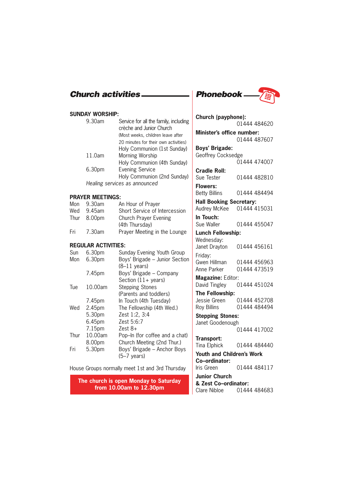#### **SUNDAY WORSHIP:**

| Service for all the family, including<br>crèche and Junior Church |
|-------------------------------------------------------------------|
| (Most weeks, children leave after                                 |
| 20 minutes for their own activities)                              |
| Holy Communion (1st Sunday)                                       |
| Morning Worship                                                   |
| Holy Communion (4th Sunday)                                       |
| <b>Evening Service</b>                                            |
| Holy Communion (2nd Sunday)                                       |
| Healing services as announced                                     |
|                                                                   |

#### **PRAYER MEETINGS:**

| Mon | 9.30am      | An Hour of Prayer             |
|-----|-------------|-------------------------------|
| Wed | 9.45am      | Short Service of Intercession |
|     | Thur 8.00pm | <b>Church Prayer Evening</b>  |
|     |             | (4th Thursday)                |
| Fri | 7.30am      | Prayer Meeting in the Lounge  |

#### **REGULAR ACTIVITIES:**

| Sun  | 6.30pm             | Sunday Evening Youth Group     |
|------|--------------------|--------------------------------|
| Mon  | 6.30pm             | Boys' Brigade - Junior Section |
|      |                    | $(8-11 \text{ years})$         |
|      | 7.45pm             | Boys' Brigade - Company        |
|      |                    | Section $(11 + \text{years})$  |
| Tue  | 10.00am            | <b>Stepping Stones</b>         |
|      |                    | (Parents and toddlers)         |
|      | 7.45pm             | In Touch (4th Tuesday)         |
| Wed  | 2.45pm             | The Fellowship (4th Wed.)      |
|      | 5.30pm             | Zest 1:2, 3:4                  |
|      | 6.45pm             | Zest 5:6:7                     |
|      | 7.15 <sub>pm</sub> | Zest $8+$                      |
| Thur | 10.00am            | Pop-In (for coffee and a chat) |
|      | 8.00pm             | Church Meeting (2nd Thur.)     |
| Fri  | 5.30pm             | Boys' Brigade - Anchor Boys    |
|      |                    | $(5-7 \text{ years})$          |

#### House Groups normally meet 1st and 3rd Thursday

**The church is open Monday to Saturday from 10.00am to 12.30pm**



| Church (payphone):               |              |  |  |
|----------------------------------|--------------|--|--|
|                                  | 01444 484620 |  |  |
| Minister's office number:        |              |  |  |
|                                  | 01444 487607 |  |  |
| <b>Boys' Brigade:</b>            |              |  |  |
| Geoffrey Cocksedge               |              |  |  |
|                                  | 01444 474007 |  |  |
| <b>Cradle Roll:</b>              |              |  |  |
| Sue Tester                       | 01444 482810 |  |  |
| <b>Flowers:</b>                  |              |  |  |
| <b>Betty Billins</b>             | 01444 484494 |  |  |
| <b>Hall Booking Secretary:</b>   |              |  |  |
| Audrey McKee                     | 01444 415031 |  |  |
| In Touch:                        |              |  |  |
| Sue Waller                       | 01444 455047 |  |  |
| <b>Lunch Fellowship:</b>         |              |  |  |
| Wednesday:                       |              |  |  |
| Janet Drayton                    | 01444 456161 |  |  |
| Friday:                          |              |  |  |
| Gwen Hillman                     | 01444 456963 |  |  |
| Anne Parker                      | 01444 473519 |  |  |
| Magazine: Editor:                |              |  |  |
| David Tingley                    | 01444 451024 |  |  |
| The Fellowship:                  |              |  |  |
| Jessie Green 01444 452708        |              |  |  |
| <b>Roy Billins</b>               | 01444 484494 |  |  |
| <b>Stepping Stones:</b>          |              |  |  |
| Janet Goodenough                 |              |  |  |
|                                  | 01444 417002 |  |  |
| Transport:                       |              |  |  |
| Tina Elphick                     | 01444 484440 |  |  |
| <b>Youth and Children's Work</b> |              |  |  |
| Co-ordinator:                    |              |  |  |
| Iris Green                       | 01444 484117 |  |  |
| <b>Junior Church</b>             |              |  |  |
| & Zest Co-ordinator:             |              |  |  |
| Clare Nibloe                     | 01444 484683 |  |  |